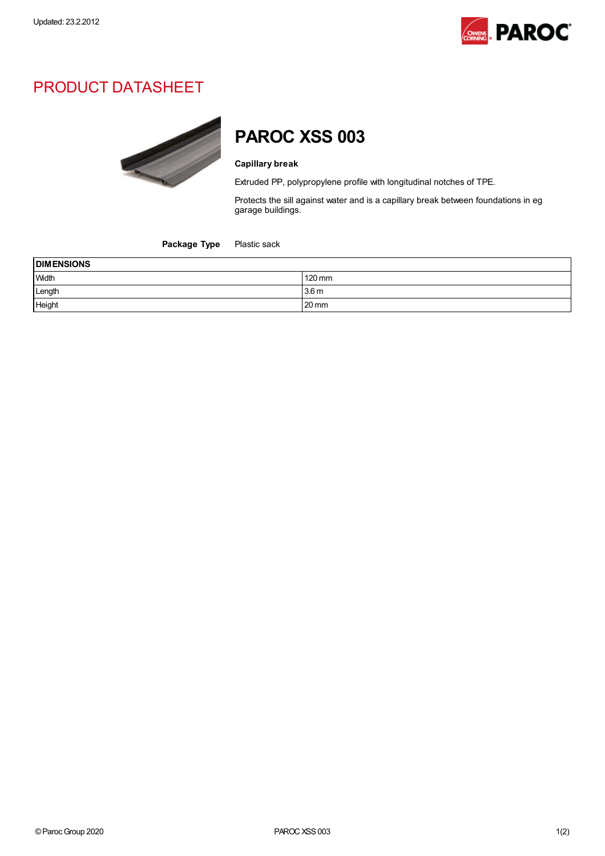

## PRODUCT DATASHEET



## PAROC XSS 003

## Capillary break

Extruded PP, polypropylene profile with longitudinal notches of TPE.

Protects the sill against water and is a capillary break between foundations in eg garage buildings.

Package Type Plastic sack

| <b>DIMENSIONS</b> |                  |  |
|-------------------|------------------|--|
| <b>Width</b>      | 120 mm           |  |
| Length            | 3.6 <sub>m</sub> |  |
| Height            | $20 \text{ mm}$  |  |